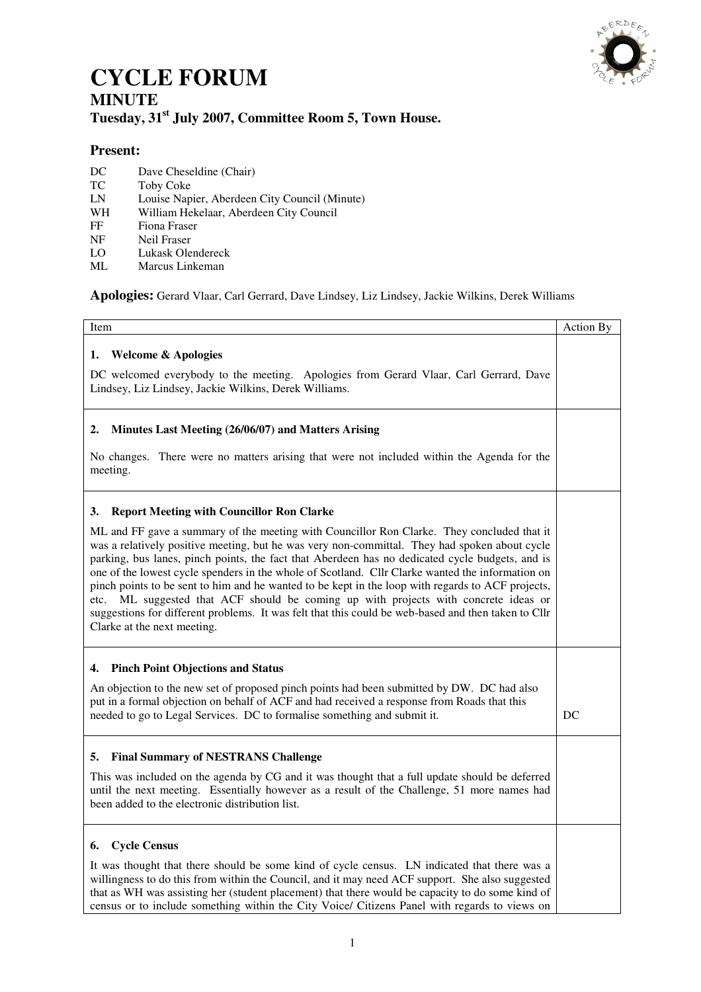

## **CYCLE FORUM MINUTE Tuesday, 31st July 2007, Committee Room 5, Town House.**

## **Present:**

- DC Dave Cheseldine (Chair)
- TC Toby Coke<br>
LN Louise Nap
- LN Louise Napier, Aberdeen City Council (Minute)<br>WH William Hekelaar, Aberdeen City Council
- WH William Hekelaar, Aberdeen City Council<br>FF Fiona Fraser
- FF Fiona Fraser<br>NF Neil Fraser
- NF Neil Fraser<br>LO Lukask Ole
- LO Lukask Olendereck<br>ML Marcus Linkeman
- Marcus Linkeman

**Apologies:** Gerard Vlaar, Carl Gerrard, Dave Lindsey, Liz Lindsey, Jackie Wilkins, Derek Williams

| Item                                                                                                                                                                                                                                                                                                                                                                                                                                                                                                                                                                                                                                                                                                                                    | Action By |
|-----------------------------------------------------------------------------------------------------------------------------------------------------------------------------------------------------------------------------------------------------------------------------------------------------------------------------------------------------------------------------------------------------------------------------------------------------------------------------------------------------------------------------------------------------------------------------------------------------------------------------------------------------------------------------------------------------------------------------------------|-----------|
| <b>Welcome &amp; Apologies</b><br>1.<br>DC welcomed everybody to the meeting. Apologies from Gerard Vlaar, Carl Gerrard, Dave<br>Lindsey, Liz Lindsey, Jackie Wilkins, Derek Williams.                                                                                                                                                                                                                                                                                                                                                                                                                                                                                                                                                  |           |
| Minutes Last Meeting (26/06/07) and Matters Arising<br>2.<br>No changes. There were no matters arising that were not included within the Agenda for the                                                                                                                                                                                                                                                                                                                                                                                                                                                                                                                                                                                 |           |
| meeting.<br><b>Report Meeting with Councillor Ron Clarke</b><br>3.                                                                                                                                                                                                                                                                                                                                                                                                                                                                                                                                                                                                                                                                      |           |
| ML and FF gave a summary of the meeting with Councillor Ron Clarke. They concluded that it<br>was a relatively positive meeting, but he was very non-committal. They had spoken about cycle<br>parking, bus lanes, pinch points, the fact that Aberdeen has no dedicated cycle budgets, and is<br>one of the lowest cycle spenders in the whole of Scotland. Cllr Clarke wanted the information on<br>pinch points to be sent to him and he wanted to be kept in the loop with regards to ACF projects,<br>ML suggested that ACF should be coming up with projects with concrete ideas or<br>etc.<br>suggestions for different problems. It was felt that this could be web-based and then taken to Cllr<br>Clarke at the next meeting. |           |
| <b>Pinch Point Objections and Status</b><br>4.                                                                                                                                                                                                                                                                                                                                                                                                                                                                                                                                                                                                                                                                                          |           |
| An objection to the new set of proposed pinch points had been submitted by DW. DC had also<br>put in a formal objection on behalf of ACF and had received a response from Roads that this<br>needed to go to Legal Services. DC to formalise something and submit it.                                                                                                                                                                                                                                                                                                                                                                                                                                                                   | DC        |
| 5. Final Summary of NESTRANS Challenge                                                                                                                                                                                                                                                                                                                                                                                                                                                                                                                                                                                                                                                                                                  |           |
| This was included on the agenda by CG and it was thought that a full update should be deferred<br>until the next meeting. Essentially however as a result of the Challenge, 51 more names had<br>been added to the electronic distribution list.                                                                                                                                                                                                                                                                                                                                                                                                                                                                                        |           |
| <b>Cycle Census</b><br>6.                                                                                                                                                                                                                                                                                                                                                                                                                                                                                                                                                                                                                                                                                                               |           |
| It was thought that there should be some kind of cycle census. LN indicated that there was a<br>willingness to do this from within the Council, and it may need ACF support. She also suggested<br>that as WH was assisting her (student placement) that there would be capacity to do some kind of<br>census or to include something within the City Voice/ Citizens Panel with regards to views on                                                                                                                                                                                                                                                                                                                                    |           |